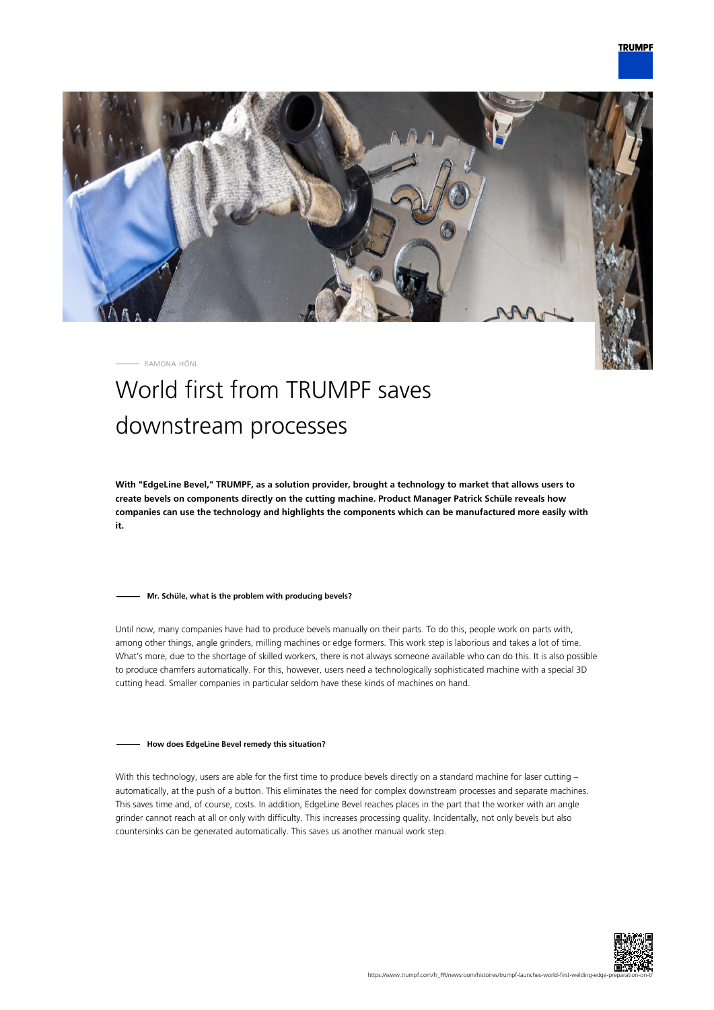

RAMONA HÖNL

# World first from TRUMPF saves downstream processes

**With "EdgeLine Bevel," TRUMPF, as a solution provider, brought a technology to market that allows users to create bevels on components directly on the cutting machine. Product Manager Patrick Schüle reveals how companies can use the technology and highlights the components which can be manufactured more easily with it.**

### **Mr. Schüle, what is the problem with producing bevels?**

Until now, many companies have had to produce bevels manually on their parts. To do this, people work on parts with, among other things, angle grinders, milling machines or edge formers. This work step is laborious and takes a lot of time. What's more, due to the shortage of skilled workers, there is not always someone available who can do this. It is also possible to produce chamfers automatically. For this, however, users need a technologically sophisticated machine with a special 3D cutting head. Smaller companies in particular seldom have these kinds of machines on hand.

#### **How does EdgeLine Bevel remedy this situation?**

With this technology, users are able for the first time to produce bevels directly on a standard machine for laser cutting automatically, at the push of a button. This eliminates the need for complex downstream processes and separate machines. This saves time and, of course, costs. In addition, EdgeLine Bevel reaches places in the part that the worker with an angle grinder cannot reach at all or only with difficulty. This increases processing quality. Incidentally, not only bevels but also countersinks can be generated automatically. This saves us another manual work step.

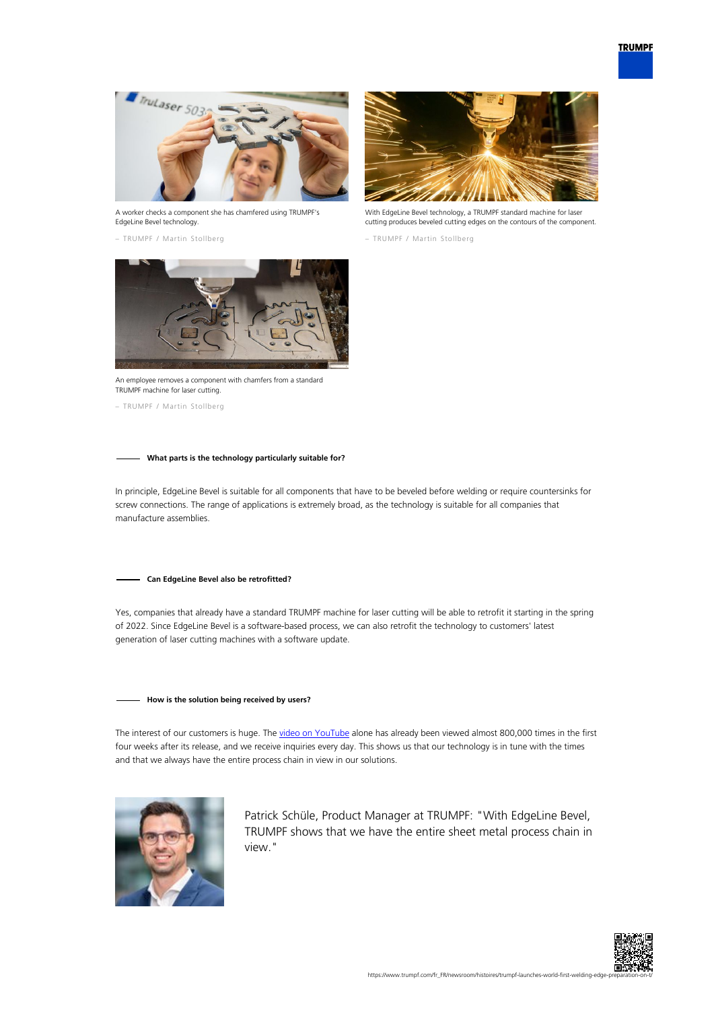

A worker checks a component she has chamfered using TRUMPF's EdgeLine Bevel technology.

– TRUMPF / Martin Stollberg



With EdgeLine Bevel technology, a TRUMPF standard machine for laser cutting produces beveled cutting edges on the contours of the component.

– TRUMPF / Martin Stollberg



An employee removes a component with chamfers from a standard TRUMPF machine for laser cutting.

– TRUMPF / Martin Stollberg

## **What parts is the technology particularly suitable for?**

In principle, EdgeLine Bevel is suitable for all components that have to be beveled before welding or require countersinks for screw connections. The range of applications is extremely broad, as the technology is suitable for all companies that manufacture assemblies.

#### **Can EdgeLine Bevel also be retrofitted?**

Yes, companies that already have a standard TRUMPF machine for laser cutting will be able to retrofit it starting in the spring of 2022. Since EdgeLine Bevel is a software-based process, we can also retrofit the technology to customers' latest generation of laser cutting machines with a software update.

## **How is the solution being received by users?**

The interest of our customers is huge. The [video on YouTube](https://www.youtube.com/watch?v=wjYai1xAQek) alone has already been viewed almost 800,000 times in the first four weeks after its release, and we receive inquiries every day. This shows us that our technology is in tune with the times and that we always have the entire process chain in view in our solutions.



Patrick Schüle, Product Manager at TRUMPF: "With EdgeLine Bevel, TRUMPF shows that we have the entire sheet metal process chain in view."